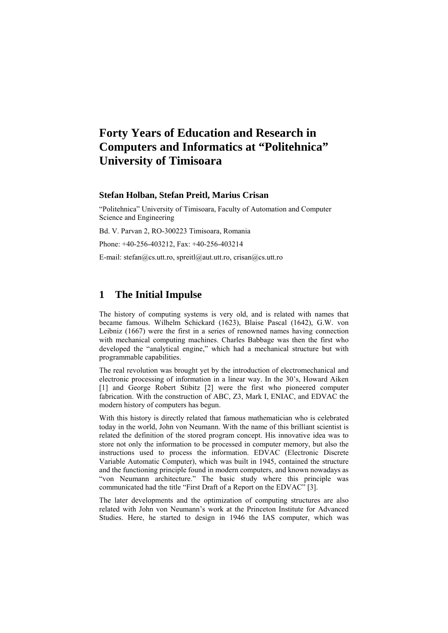# **Forty Years of Education and Research in Computers and Informatics at "Politehnica" University of Timisoara**

#### **Stefan Holban, Stefan Preitl, Marius Crisan**

"Politehnica" University of Timisoara, Faculty of Automation and Computer Science and Engineering

Bd. V. Parvan 2, RO-300223 Timisoara, Romania

Phone: +40-256-403212, Fax: +40-256-403214

E-mail: stefan@cs.utt.ro, spreitl@aut.utt.ro, crisan@cs.utt.ro

### **1 The Initial Impulse**

The history of computing systems is very old, and is related with names that became famous. Wilhelm Schickard (1623), Blaise Pascal (1642), G.W. von Leibniz (1667) were the first in a series of renowned names having connection with mechanical computing machines. Charles Babbage was then the first who developed the "analytical engine," which had a mechanical structure but with programmable capabilities.

The real revolution was brought yet by the introduction of electromechanical and electronic processing of information in a linear way. In the 30's, Howard Aiken [1] and George Robert Stibitz [2] were the first who pioneered computer fabrication. With the construction of ABC, Z3, Mark I, ENIAC, and EDVAC the modern history of computers has begun.

With this history is directly related that famous mathematician who is celebrated today in the world, John von Neumann. With the name of this brilliant scientist is related the definition of the stored program concept. His innovative idea was to store not only the information to be processed in computer memory, but also the instructions used to process the information. EDVAC (Electronic Discrete Variable Automatic Computer), which was built in 1945, contained the structure and the functioning principle found in modern computers, and known nowadays as "von Neumann architecture." The basic study where this principle was communicated had the title "First Draft of a Report on the EDVAC" [3].

The later developments and the optimization of computing structures are also related with John von Neumann's work at the Princeton Institute for Advanced Studies. Here, he started to design in 1946 the IAS computer, which was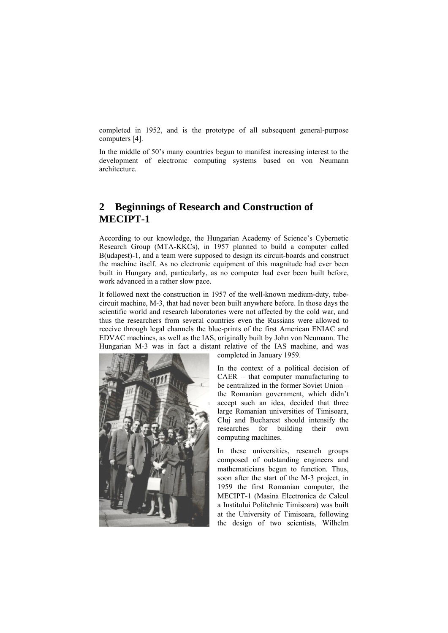completed in 1952, and is the prototype of all subsequent general-purpose computers [4].

In the middle of 50's many countries begun to manifest increasing interest to the development of electronic computing systems based on von Neumann architecture.

## **2 Beginnings of Research and Construction of MECIPT-1**

According to our knowledge, the Hungarian Academy of Science's Cybernetic Research Group (MTA-KKCs), in 1957 planned to build a computer called B(udapest)-1, and a team were supposed to design its circuit-boards and construct the machine itself. As no electronic equipment of this magnitude had ever been built in Hungary and, particularly, as no computer had ever been built before, work advanced in a rather slow pace.

It followed next the construction in 1957 of the well-known medium-duty, tubecircuit machine, M-3, that had never been built anywhere before. In those days the scientific world and research laboratories were not affected by the cold war, and thus the researchers from several countries even the Russians were allowed to receive through legal channels the blue-prints of the first American ENIAC and EDVAC machines, as well as the IAS, originally built by John von Neumann. The Hungarian M-3 was in fact a distant relative of the IAS machine, and was



completed in January 1959.

In the context of a political decision of CAER – that computer manufacturing to be centralized in the former Soviet Union – the Romanian government, which didn't accept such an idea, decided that three large Romanian universities of Timisoara, Cluj and Bucharest should intensify the researches for building their own computing machines.

In these universities, research groups composed of outstanding engineers and mathematicians begun to function. Thus, soon after the start of the M-3 project, in 1959 the first Romanian computer, the MECIPT-1 (Masina Electronica de Calcul a Institului Politehnic Timisoara) was built at the University of Timisoara, following the design of two scientists, Wilhelm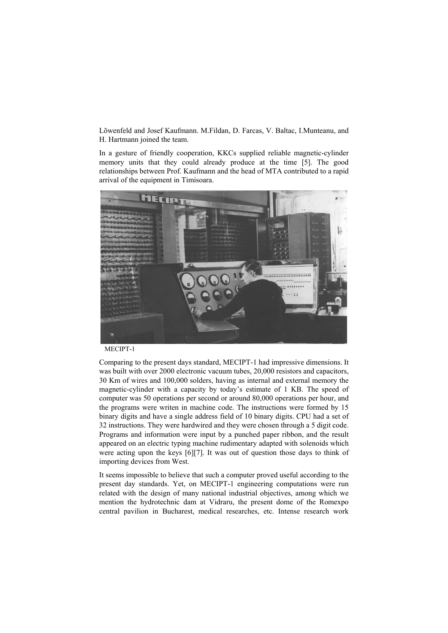Lõwenfeld and Josef Kaufmann. M.Fildan, D. Farcas, V. Baltac, I.Munteanu, and H. Hartmann joined the team.

In a gesture of friendly cooperation, KKCs supplied reliable magnetic-cylinder memory units that they could already produce at the time [5]. The good relationships between Prof. Kaufmann and the head of MTA contributed to a rapid arrival of the equipment in Timisoara.



#### MECIPT-1

Comparing to the present days standard, MECIPT-1 had impressive dimensions. It was built with over 2000 electronic vacuum tubes, 20,000 resistors and capacitors, 30 Km of wires and 100,000 solders, having as internal and external memory the magnetic-cylinder with a capacity by today's estimate of 1 KB. The speed of computer was 50 operations per second or around 80,000 operations per hour, and the programs were writen in machine code. The instructions were formed by 15 binary digits and have a single address field of 10 binary digits. CPU had a set of 32 instructions. They were hardwired and they were chosen through a 5 digit code. Programs and information were input by a punched paper ribbon, and the result appeared on an electric typing machine rudimentary adapted with solenoids which were acting upon the keys [6][7]. It was out of question those days to think of importing devices from West.

It seems impossible to believe that such a computer proved useful according to the present day standards. Yet, on MECIPT-1 engineering computations were run related with the design of many national industrial objectives, among which we mention the hydrotechnic dam at Vidraru, the present dome of the Romexpo central pavilion in Bucharest, medical researches, etc. Intense research work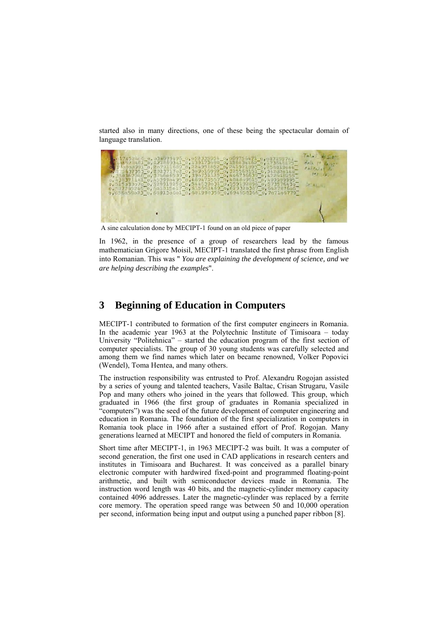started also in many directions, one of these being the spectacular domain of language translation.



A sine calculation done by MECIPT-1 found on an old piece of paper

In 1962, in the presence of a group of researchers lead by the famous mathematician Grigore Moisil, MECIPT-1 translated the first phrase from English into Romanian. This was " *You are explaining the development of science, and we are helping describing the examples*".

#### **3 Beginning of Education in Computers**

MECIPT-1 contributed to formation of the first computer engineers in Romania. In the academic year 1963 at the Polytechnic Institute of Timisoara – today University "Politehnica" – started the education program of the first section of computer specialists. The group of 30 young students was carefully selected and among them we find names which later on became renowned, Volker Popovici (Wendel), Toma Hentea, and many others.

The instruction responsibility was entrusted to Prof. Alexandru Rogojan assisted by a series of young and talented teachers, Vasile Baltac, Crisan Strugaru, Vasile Pop and many others who joined in the years that followed. This group, which graduated in 1966 (the first group of graduates in Romania specialized in "computers") was the seed of the future development of computer engineering and education in Romania. The foundation of the first specialization in computers in Romania took place in 1966 after a sustained effort of Prof. Rogojan. Many generations learned at MECIPT and honored the field of computers in Romania.

Short time after MECIPT-1, in 1963 MECIPT-2 was built. It was a computer of second generation, the first one used in CAD applications in research centers and institutes in Timisoara and Bucharest. It was conceived as a parallel binary electronic computer with hardwired fixed-point and programmed floating-point arithmetic, and built with semiconductor devices made in Romania. The instruction word length was 40 bits, and the magnetic-cylinder memory capacity contained 4096 addresses. Later the magnetic-cylinder was replaced by a ferrite core memory. The operation speed range was between 50 and 10,000 operation per second, information being input and output using a punched paper ribbon [8].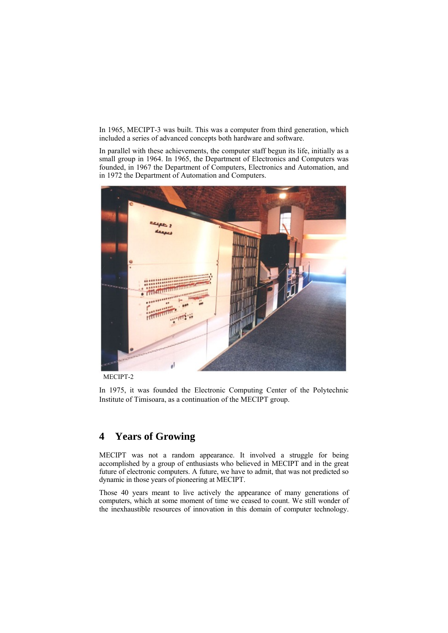In 1965, MECIPT-3 was built. This was a computer from third generation, which included a series of advanced concepts both hardware and software.

In parallel with these achievements, the computer staff begun its life, initially as a small group in 1964. In 1965, the Department of Electronics and Computers was founded, in 1967 the Department of Computers, Electronics and Automation, and in 1972 the Department of Automation and Computers.



MECIPT-2

In 1975, it was founded the Electronic Computing Center of the Polytechnic Institute of Timisoara, as a continuation of the MECIPT group.

## **4 Years of Growing**

MECIPT was not a random appearance. It involved a struggle for being accomplished by a group of enthusiasts who believed in MECIPT and in the great future of electronic computers. A future, we have to admit, that was not predicted so dynamic in those years of pioneering at MECIPT.

Those 40 years meant to live actively the appearance of many generations of computers, which at some moment of time we ceased to count. We still wonder of the inexhaustible resources of innovation in this domain of computer technology.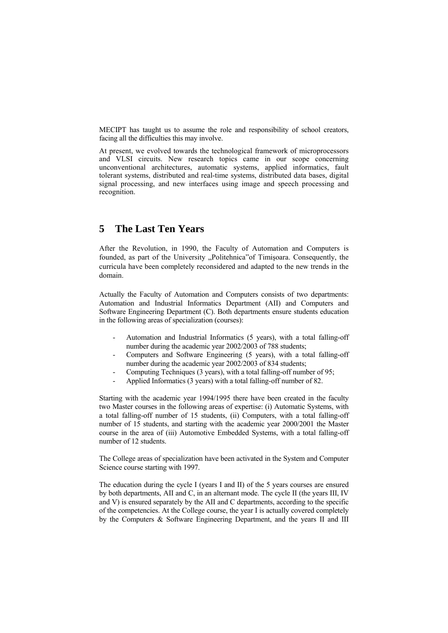MECIPT has taught us to assume the role and responsibility of school creators, facing all the difficulties this may involve.

At present, we evolved towards the technological framework of microprocessors and VLSI circuits. New research topics came in our scope concerning unconventional architectures, automatic systems, applied informatics, fault tolerant systems, distributed and real-time systems, distributed data bases, digital signal processing, and new interfaces using image and speech processing and recognition.

## **5 The Last Ten Years**

After the Revolution, in 1990, the Faculty of Automation and Computers is founded, as part of the University "Politehnica" of Timișoara. Consequently, the curricula have been completely reconsidered and adapted to the new trends in the domain.

Actually the Faculty of Automation and Computers consists of two departments: Automation and Industrial Informatics Department (AII) and Computers and Software Engineering Department (C). Both departments ensure students education in the following areas of specialization (courses):

- Automation and Industrial Informatics (5 years), with a total falling-off number during the academic year 2002/2003 of 788 students;
- Computers and Software Engineering (5 years), with a total falling-off number during the academic year 2002/2003 of 834 students;
- Computing Techniques (3 years), with a total falling-off number of 95;
- Applied Informatics (3 years) with a total falling-off number of 82.

Starting with the academic year 1994/1995 there have been created in the faculty two Master courses in the following areas of expertise: (i) Automatic Systems, with a total falling-off number of 15 students, (ii) Computers, with a total falling-off number of 15 students, and starting with the academic year 2000/2001 the Master course in the area of (iii) Automotive Embedded Systems, with a total falling-off number of 12 students.

The College areas of specialization have been activated in the System and Computer Science course starting with 1997.

The education during the cycle I (years I and II) of the 5 years courses are ensured by both departments, AII and C, in an alternant mode. The cycle II (the years III, IV and V) is ensured separately by the AII and C departments, according to the specific of the competencies. At the College course, the year I is actually covered completely by the Computers & Software Engineering Department, and the years II and III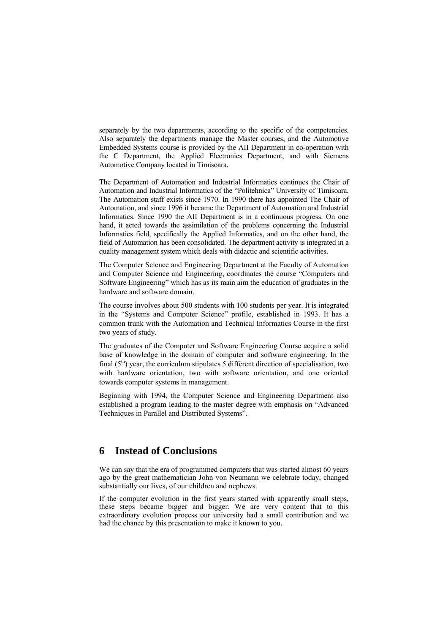separately by the two departments, according to the specific of the competencies. Also separately the departments manage the Master courses, and the Automotive Embedded Systems course is provided by the AII Department in co-operation with the C Department, the Applied Electronics Department, and with Siemens Automotive Company located in Timisoara.

The Department of Automation and Industrial Informatics continues the Chair of Automation and Industrial Informatics of the "Politehnica" University of Timisoara. The Automation staff exists since 1970. In 1990 there has appointed The Chair of Automation, and since 1996 it became the Department of Automation and Industrial Informatics. Since 1990 the AII Department is in a continuous progress. On one hand, it acted towards the assimilation of the problems concerning the Industrial Informatics field, specifically the Applied Informatics, and on the other hand, the field of Automation has been consolidated. The department activity is integrated in a quality management system which deals with didactic and scientific activities.

The Computer Science and Engineering Department at the Faculty of Automation and Computer Science and Engineering, coordinates the course "Computers and Software Engineering" which has as its main aim the education of graduates in the hardware and software domain.

The course involves about 500 students with 100 students per year. It is integrated in the "Systems and Computer Science" profile, established in 1993. It has a common trunk with the Automation and Technical Informatics Course in the first two years of study.

The graduates of the Computer and Software Engineering Course acquire a solid base of knowledge in the domain of computer and software engineering. In the final  $(5<sup>th</sup>)$  year, the curriculum stipulates 5 different direction of specialisation, two with hardware orientation, two with software orientation, and one oriented towards computer systems in management.

Beginning with 1994, the Computer Science and Engineering Department also established a program leading to the master degree with emphasis on "Advanced Techniques in Parallel and Distributed Systems".

### **6 Instead of Conclusions**

We can say that the era of programmed computers that was started almost 60 years ago by the great mathematician John von Neumann we celebrate today, changed substantially our lives, of our children and nephews.

If the computer evolution in the first years started with apparently small steps, these steps became bigger and bigger. We are very content that to this extraordinary evolution process our university had a small contribution and we had the chance by this presentation to make it known to you.